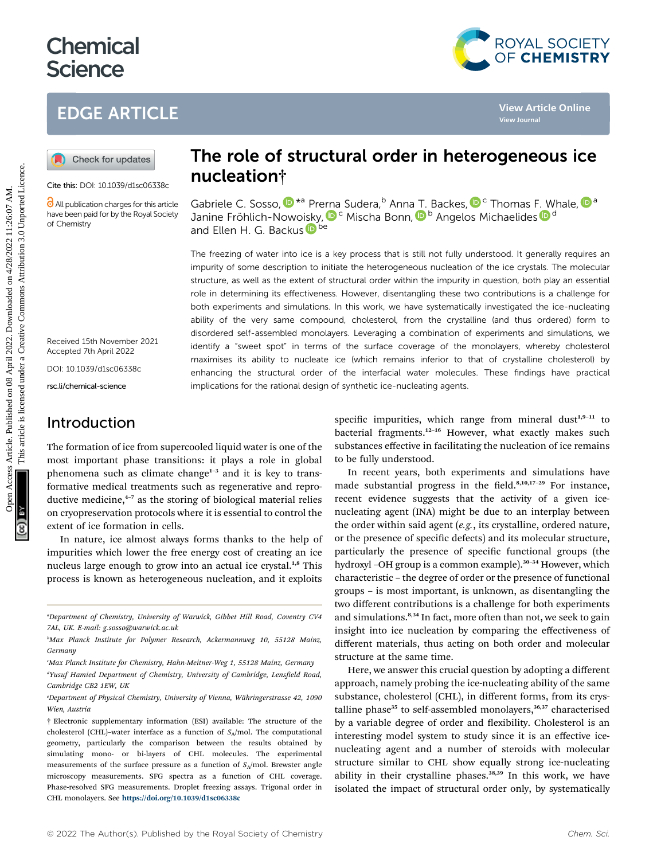# **Chemical Science**

## EDGE ARTICLE



Cite this: DOI: 10.1039/d1sc06338c

All publication charges for this article have been paid for by the Royal Society of Chemistry

Received 15th November 2021 Accepted 7th April 2022

DOI: 10.1039/d1sc06338c

rsc.li/chemical-science

## Introduction

The formation of ice from supercooled liquid water is one of the most important phase transitions: it plays a role in global phenomena such as climate change $1-3$  and it is key to transformative medical treatments such as regenerative and reproductive medicine, $4-7$  as the storing of biological material relies on cryopreservation protocols where it is essential to control the extent of ice formation in cells.

In nature, ice almost always forms thanks to the help of impurities which lower the free energy cost of creating an ice nucleus large enough to grow into an actual ice crystal.<sup>1,8</sup> This process is known as heterogeneous nucleation, and it exploits

## The role of structural order in heterogeneous ice nucleation†

G[a](http://orcid.org/0000-0001-6851-8453)briele C. Sosso[,](http://orcid.org/0000-0002-2163-8973)  $\mathbf{D}^{\star a}$  Pr[erna](http://orcid.org/0000-0002-1278-0054) Sudera, <sup>b</sup> Anna [T.](http://orcid.org/0000-0001-6851-8453) Backes,  $\mathbf{D}^c$  Thomas F. Whale,  $\mathbf{D}^a$ Janine Fröhlich-Nowoi[s](http://orcid.org/0000-0002-9169-169X)ky, D<sup>c</sup> Mischa Bonn, D<sup>b</sup> Angelos Michaelides D<sup>d</sup> and Ellen H. G. Backu[s](http://orcid.org/0000-0002-6202-0280) Dbe

The freezing of water into ice is a key process that is still not fully understood. It generally requires an impurity of some description to initiate the heterogeneous nucleation of the ice crystals. The molecular structure, as well as the extent of structural order within the impurity in question, both play an essential role in determining its effectiveness. However, disentangling these two contributions is a challenge for both experiments and simulations. In this work, we have systematically investigated the ice-nucleating ability of the very same compound, cholesterol, from the crystalline (and thus ordered) form to disordered self-assembled monolayers. Leveraging a combination of experiments and simulations, we identify a "sweet spot" in terms of the surface coverage of the monolayers, whereby cholesterol maximises its ability to nucleate ice (which remains inferior to that of crystalline cholesterol) by enhancing the structural order of the interfacial water molecules. These findings have practical implications for the rational design of synthetic ice-nucleating agents. **CD** CE ARTICLE<br> **CO** Check for updets **IRCO CONTINET CONTINET CONTINET CONTINET CONTINUES.**<br> **CONTINET CONTINET CONTINET CONTINUES ARTICLE.**<br> **CONTINET CONTINET CONTINET CONTINET CONTINUES ARTICLE CONTINUES ARTICLE CONT** 

specific impurities, which range from mineral dust<sup>1,9-11</sup> to bacterial fragments.<sup>12-16</sup> However, what exactly makes such substances effective in facilitating the nucleation of ice remains to be fully understood.

In recent years, both experiments and simulations have made substantial progress in the field.<sup>8,10,17-29</sup> For instance, recent evidence suggests that the activity of a given icenucleating agent (INA) might be due to an interplay between the order within said agent (e.g., its crystalline, ordered nature, or the presence of specific defects) and its molecular structure, particularly the presence of specific functional groups (the hydroxyl -OH group is a common example).<sup>30-34</sup> However, which characteristic – the degree of order or the presence of functional groups – is most important, is unknown, as disentangling the two different contributions is a challenge for both experiments and simulations.<sup>8,34</sup> In fact, more often than not, we seek to gain insight into ice nucleation by comparing the effectiveness of different materials, thus acting on both order and molecular structure at the same time.

Here, we answer this crucial question by adopting a different approach, namely probing the ice-nucleating ability of the same substance, cholesterol (CHL), in different forms, from its crystalline phase<sup>35</sup> to self-assembled monolayers,<sup>36,37</sup> characterised by a variable degree of order and flexibility. Cholesterol is an interesting model system to study since it is an effective icenucleating agent and a number of steroids with molecular structure similar to CHL show equally strong ice-nucleating ability in their crystalline phases.<sup>38,39</sup> In this work, we have isolated the impact of structural order only, by systematically



a Department of Chemistry, University of Warwick, Gibbet Hill Road, Coventry CV4 7AL, UK. E-mail: g.sosso@warwick.ac.uk

b Max Planck Institute for Polymer Research, Ackermannweg 10, 55128 Mainz, Germany

c Max Planck Institute for Chemistry, Hahn-Meitner-Weg 1, 55128 Mainz, Germany <sup>a</sup>Yusuf Hamied Department of Chemistry, University of Cambridge, Lensfield Road, Cambridge CB2 1EW, UK

Department of Physical Chemistry, University of Vienna, Währingerstrasse 42, 1090 Wien, Austria

<sup>†</sup> Electronic supplementary information (ESI) available: The structure of the cholesterol (CHL)-water interface as a function of  $S_A$ /mol. The computational geometry, particularly the comparison between the results obtained by simulating mono- or bi-layers of CHL molecules. The experimental measurements of the surface pressure as a function of  $S_A$ /mol. Brewster angle microscopy measurements. SFG spectra as a function of CHL coverage. Phase-resolved SFG measurements. Droplet freezing assays. Trigonal order in CHL monolayers. See <https://doi.org/10.1039/d1sc06338c>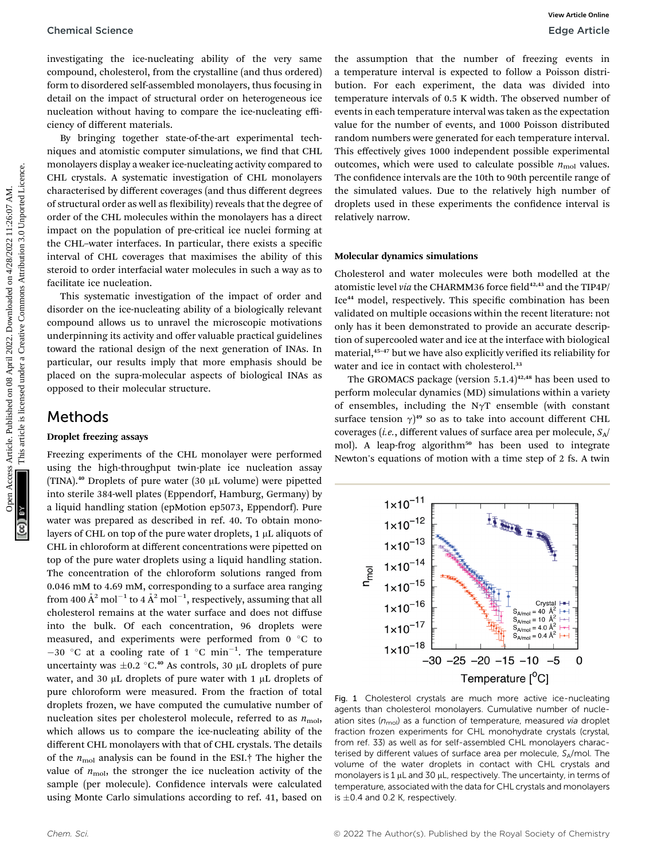investigating the ice-nucleating ability of the very same compound, cholesterol, from the crystalline (and thus ordered) form to disordered self-assembled monolayers, thus focusing in detail on the impact of structural order on heterogeneous ice nucleation without having to compare the ice-nucleating efficiency of different materials.

By bringing together state-of-the-art experimental techniques and atomistic computer simulations, we find that CHL monolayers display a weaker ice-nucleating activity compared to CHL crystals. A systematic investigation of CHL monolayers characterised by different coverages (and thus different degrees of structural order as well as flexibility) reveals that the degree of order of the CHL molecules within the monolayers has a direct impact on the population of pre-critical ice nuclei forming at the CHL–water interfaces. In particular, there exists a specific interval of CHL coverages that maximises the ability of this steroid to order interfacial water molecules in such a way as to facilitate ice nucleation.

This systematic investigation of the impact of order and disorder on the ice-nucleating ability of a biologically relevant compound allows us to unravel the microscopic motivations underpinning its activity and offer valuable practical guidelines toward the rational design of the next generation of INAs. In particular, our results imply that more emphasis should be placed on the supra-molecular aspects of biological INAs as opposed to their molecular structure.

### Methods

#### Droplet freezing assays

Freezing experiments of the CHL monolayer were performed using the high-throughput twin-plate ice nucleation assay (TINA).<sup>40</sup> Droplets of pure water (30  $\mu$ L volume) were pipetted into sterile 384-well plates (Eppendorf, Hamburg, Germany) by a liquid handling station (epMotion ep5073, Eppendorf). Pure water was prepared as described in ref. 40. To obtain monolayers of CHL on top of the pure water droplets,  $1 \mu$ L aliquots of CHL in chloroform at different concentrations were pipetted on top of the pure water droplets using a liquid handling station. The concentration of the chloroform solutions ranged from 0.046 mM to 4.69 mM, corresponding to a surface area ranging from 400  $\rm \AA^2$  mol $^{-1}$  to 4  $\rm \AA^2$  mol $^{-1}$ , respectively, assuming that all cholesterol remains at the water surface and does not diffuse into the bulk. Of each concentration, 96 droplets were measured, and experiments were performed from  $0^{\circ}$ C to  $-30$  °C at a cooling rate of 1 °C min<sup>-1</sup>. The temperature uncertainty was  $\pm 0.2$  °C.<sup>40</sup> As controls, 30 µL droplets of pure water, and 30  $\mu$ L droplets of pure water with 1  $\mu$ L droplets of pure chloroform were measured. From the fraction of total droplets frozen, we have computed the cumulative number of nucleation sites per cholesterol molecule, referred to as  $n_{\text{mol}}$ , which allows us to compare the ice-nucleating ability of the different CHL monolayers with that of CHL crystals. The details of the  $n_{\text{mol}}$  analysis can be found in the ESI.<sup>†</sup> The higher the value of  $n_{\text{mol}}$ , the stronger the ice nucleation activity of the sample (per molecule). Confidence intervals were calculated using Monte Carlo simulations according to ref. 41, based on

the assumption that the number of freezing events in a temperature interval is expected to follow a Poisson distribution. For each experiment, the data was divided into temperature intervals of 0.5 K width. The observed number of events in each temperature interval was taken as the expectation value for the number of events, and 1000 Poisson distributed random numbers were generated for each temperature interval. This effectively gives 1000 independent possible experimental outcomes, which were used to calculate possible  $n_{\text{mol}}$  values. The confidence intervals are the 10th to 90th percentile range of the simulated values. Due to the relatively high number of droplets used in these experiments the confidence interval is relatively narrow. Chemical Science<br>
Sciences Article constrained on the published on the samples are three and to method on the track of the state of the state of the constrained on the track of the state of the state of the state of the s

#### Molecular dynamics simulations

Cholesterol and water molecules were both modelled at the atomistic level *via* the CHARMM36 force field<sup>42,43</sup> and the TIP4P/ Ice<sup>44</sup> model, respectively. This specific combination has been validated on multiple occasions within the recent literature: not only has it been demonstrated to provide an accurate description of supercooled water and ice at the interface with biological material,<sup>45-47</sup> but we have also explicitly verified its reliability for water and ice in contact with cholesterol.<sup>33</sup>

The GROMACS package (version  $5.1.4$ )<sup>42,48</sup> has been used to perform molecular dynamics (MD) simulations within a variety of ensembles, including the N $\gamma T$  ensemble (with constant surface tension  $\gamma$ <sup>49</sup> so as to take into account different CHL<br>coverage (i.e. different values of surface area per molecule, S. coverages (*i.e.*, different values of surface area per molecule,  $S_A/$ mol). A leap-frog algorithm<sup>50</sup> has been used to integrate Newton's equations of motion with a time step of 2 fs. A twin



Fig. 1 Cholesterol crystals are much more active ice-nucleating agents than cholesterol monolayers. Cumulative number of nucleation sites ( $n_{\text{mol}}$ ) as a function of temperature, measured via droplet fraction frozen experiments for CHL monohydrate crystals (crystal, from ref. 33) as well as for self-assembled CHL monolayers characterised by different values of surface area per molecule,  $S_A$ /mol. The volume of the water droplets in contact with CHL crystals and monolayers is  $1 \mu$ L and 30  $\mu$ L, respectively. The uncertainty, in terms of temperature, associated with the data for CHL crystals and monolayers is  $\pm 0.4$  and 0.2 K, respectively.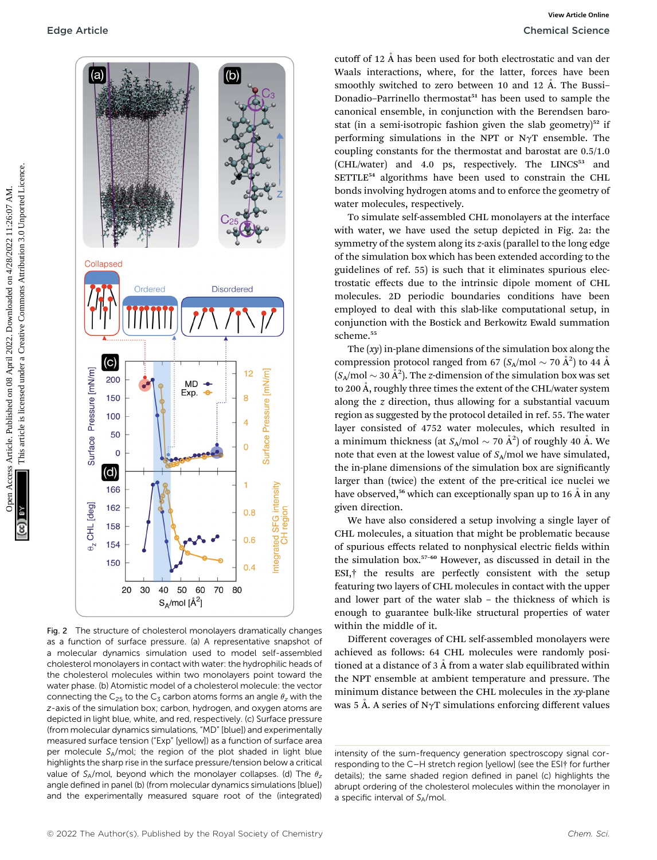

Fig. 2 The structure of cholesterol monolayers dramatically changes as a function of surface pressure. (a) A representative snapshot of a molecular dynamics simulation used to model self-assembled cholesterol monolayers in contact with water: the hydrophilic heads of the cholesterol molecules within two monolayers point toward the water phase. (b) Atomistic model of a cholesterol molecule: the vector connecting the C<sub>25</sub> to the C<sub>3</sub> carbon atoms forms an angle  $\theta$ <sub>z</sub> with the z-axis of the simulation box; carbon, hydrogen, and oxygen atoms are depicted in light blue, white, and red, respectively. (c) Surface pressure (from molecular dynamics simulations, "MD" [blue]) and experimentally measured surface tension ("Exp" [yellow]) as a function of surface area per molecule SA/mol; the region of the plot shaded in light blue highlights the sharp rise in the surface pressure/tension below a critical value of  $S_A/mol$ , beyond which the monolayer collapses. (d) The  $\theta_z$ angle defined in panel (b) (from molecular dynamics simulations [blue]) and the experimentally measured square root of the (integrated)

cutoff of 12  $\AA$  has been used for both electrostatic and van der Waals interactions, where, for the latter, forces have been smoothly switched to zero between 10 and 12  $\AA$ . The Bussi-Donadio-Parrinello thermostat<sup>51</sup> has been used to sample the canonical ensemble, in conjunction with the Berendsen barostat (in a semi-isotropic fashion given the slab geometry) $52$  if performing simulations in the NPT or N $\gamma$ T ensemble. The coupling constants for the thermostat and barostat are 0.5/1.0 (CHL/water) and 4.0 ps, respectively. The LINCS<sup>53</sup> and SETTLE<sup>54</sup> algorithms have been used to constrain the CHL bonds involving hydrogen atoms and to enforce the geometry of water molecules, respectively.

To simulate self-assembled CHL monolayers at the interface with water, we have used the setup depicted in Fig. 2a: the symmetry of the system along its z-axis (parallel to the long edge of the simulation box which has been extended according to the guidelines of ref. 55) is such that it eliminates spurious electrostatic effects due to the intrinsic dipole moment of CHL molecules. 2D periodic boundaries conditions have been employed to deal with this slab-like computational setup, in conjunction with the Bostick and Berkowitz Ewald summation scheme.<sup>55</sup>

The  $(xy)$  in-plane dimensions of the simulation box along the compression protocol ranged from 67 ( $S_A$ /mol  $\sim$  70 Å<sup>2</sup>) to 44 Å  $(S_A/mol \sim 30 \text{ Å}^2)$ . The z-dimension of the simulation box was set to 200 Å, roughly three times the extent of the CHL/water system along the z direction, thus allowing for a substantial vacuum region as suggested by the protocol detailed in ref. 55. The water layer consisted of 4752 water molecules, which resulted in a minimum thickness (at  $S_A/\text{mol} \sim 70 \text{ Å}^2$ ) of roughly 40 Å. We note that even at the lowest value of  $S_A$ /mol we have simulated, the in-plane dimensions of the simulation box are significantly larger than (twice) the extent of the pre-critical ice nuclei we have observed,<sup>56</sup> which can exceptionally span up to 16  $\AA$  in any given direction.

We have also considered a setup involving a single layer of CHL molecules, a situation that might be problematic because of spurious effects related to nonphysical electric fields within the simulation box.<sup>57</sup>–<sup>60</sup> However, as discussed in detail in the ESI,† the results are perfectly consistent with the setup featuring two layers of CHL molecules in contact with the upper and lower part of the water slab – the thickness of which is enough to guarantee bulk-like structural properties of water within the middle of it.

Different coverages of CHL self-assembled monolayers were achieved as follows: 64 CHL molecules were randomly positioned at a distance of  $3 \text{ Å}$  from a water slab equilibrated within the NPT ensemble at ambient temperature and pressure. The minimum distance between the CHL molecules in the xy-plane was 5 Å. A series of N $\gamma$ T simulations enforcing different values

intensity of the sum-frequency generation spectroscopy signal corresponding to the C–H stretch region [yellow] (see the ESI† for further details); the same shaded region defined in panel (c) highlights the abrupt ordering of the cholesterol molecules within the monolayer in a specific interval of  $S_A$ /mol.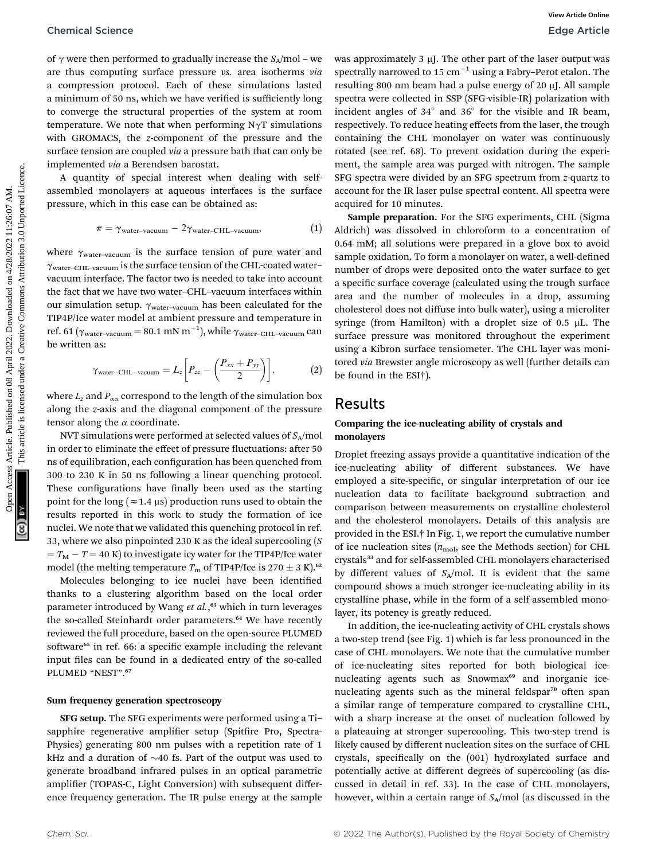of  $\gamma$  were then performed to gradually increase the  $S_A/mol$  – we are thus computing surface pressure vs. area isotherms via a compression protocol. Each of these simulations lasted a minimum of 50 ns, which we have verified is sufficiently long to converge the structural properties of the system at room temperature. We note that when performing  $N\gamma T$  simulations with GROMACS, the z-component of the pressure and the surface tension are coupled *via* a pressure bath that can only be implemented via a Berendsen barostat.

A quantity of special interest when dealing with selfassembled monolayers at aqueous interfaces is the surface pressure, which in this case can be obtained as:

$$
\pi = \gamma_{\text{water-vacuum}} - 2\gamma_{\text{water-CHL-vacuum}}, \tag{1}
$$

where  $\gamma_{\text{water-vacuum}}$  is the surface tension of pure water and  $\gamma_{\text{water-CHL-vacuum}}$  is the surface tension of the CHL-coated water– vacuum interface. The factor two is needed to take into account the fact that we have two water–CHL–vacuum interfaces within our simulation setup.  $\gamma_{\text{water-vacuum}}$  has been calculated for the TIP4P/Ice water model at ambient pressure and temperature in ref. 61 ( $\gamma_{\text{water-vacuum}} = 80.1 \text{ mN m}^{-1}$ ), while  $\gamma_{\text{water-CHL-vacuum}}$  can be written as:

$$
\gamma_{\text{water-CHL-vacuum}} = L_z \bigg[ P_{zz} - \bigg( \frac{P_{xx} + P_{yy}}{2} \bigg) \bigg], \tag{2}
$$

where  $L_z$  and  $P_{\alpha\alpha}$  correspond to the length of the simulation box along the z-axis and the diagonal component of the pressure tensor along the  $\alpha$  coordinate.

NVT simulations were performed at selected values of  $S_A$ /mol in order to eliminate the effect of pressure fluctuations: after 50 ns of equilibration, each configuration has been quenched from 300 to 230 K in 50 ns following a linear quenching protocol. These configurations have finally been used as the starting point for the long ( $\approx$  1.4  $\mu$ s) production runs used to obtain the results reported in this work to study the formation of ice nuclei. We note that we validated this quenching protocol in ref. 33, where we also pinpointed 230 K as the ideal supercooling (S  $T_{\rm M} - T = 40$  K) to investigate icy water for the TIP4P/Ice water model (the melting temperature  $T_{\rm m}$  of TIP4P/Ice is 270  $\pm$  3 K).<sup>62</sup>

Molecules belonging to ice nuclei have been identified thanks to a clustering algorithm based on the local order parameter introduced by Wang et al.,<sup>63</sup> which in turn leverages the so-called Steinhardt order parameters.<sup>64</sup> We have recently reviewed the full procedure, based on the open-source PLUMED software<sup>65</sup> in ref. 66: a specific example including the relevant input files can be found in a dedicated entry of the so-called PLUMED "NEST". 67

#### Sum frequency generation spectroscopy

SFG setup. The SFG experiments were performed using a Ti– sapphire regenerative amplifier setup (Spitfire Pro, Spectra-Physics) generating 800 nm pulses with a repetition rate of 1 kHz and a duration of  $\sim$ 40 fs. Part of the output was used to generate broadband infrared pulses in an optical parametric amplifier (TOPAS-C, Light Conversion) with subsequent difference frequency generation. The IR pulse energy at the sample

was approximately  $3 \mu$ J. The other part of the laser output was spectrally narrowed to 15  $cm^{-1}$  using a Fabry–Perot etalon. The resulting 800 nm beam had a pulse energy of 20  $\mu$ J. All sample spectra were collected in SSP (SFG-visible-IR) polarization with incident angles of  $34^\circ$  and  $36^\circ$  for the visible and IR beam, respectively. To reduce heating effects from the laser, the trough containing the CHL monolayer on water was continuously rotated (see ref. 68). To prevent oxidation during the experiment, the sample area was purged with nitrogen. The sample SFG spectra were divided by an SFG spectrum from z-quartz to account for the IR laser pulse spectral content. All spectra were acquired for 10 minutes.

Sample preparation. For the SFG experiments, CHL (Sigma Aldrich) was dissolved in chloroform to a concentration of 0.64 mM; all solutions were prepared in a glove box to avoid sample oxidation. To form a monolayer on water, a well-defined number of drops were deposited onto the water surface to get a specific surface coverage (calculated using the trough surface area and the number of molecules in a drop, assuming cholesterol does not diffuse into bulk water), using a microliter syringe (from Hamilton) with a droplet size of  $0.5 \mu L$ . The surface pressure was monitored throughout the experiment using a Kibron surface tensiometer. The CHL layer was monitored via Brewster angle microscopy as well (further details can be found in the ESI†). Chemical Science<br>
of  $\gamma$  were then reproduced on produced one are not are the intermediation and the temperature of a space with the second on the second one are the second under the second one are the second under the s

### Results

#### Comparing the ice-nucleating ability of crystals and monolayers

Droplet freezing assays provide a quantitative indication of the ice-nucleating ability of different substances. We have employed a site-specific, or singular interpretation of our ice nucleation data to facilitate background subtraction and comparison between measurements on crystalline cholesterol and the cholesterol monolayers. Details of this analysis are provided in the ESI.† In Fig. 1, we report the cumulative number of ice nucleation sites  $(n_{\text{mol}})$ , see the Methods section) for CHL crystals<sup>33</sup> and for self-assembled CHL monolayers characterised by different values of  $S_A$ /mol. It is evident that the same compound shows a much stronger ice-nucleating ability in its crystalline phase, while in the form of a self-assembled monolayer, its potency is greatly reduced.

In addition, the ice-nucleating activity of CHL crystals shows a two-step trend (see Fig. 1) which is far less pronounced in the case of CHL monolayers. We note that the cumulative number of ice-nucleating sites reported for both biological icenucleating agents such as Snowmax<sup>69</sup> and inorganic icenucleating agents such as the mineral feldspar<sup>70</sup> often span a similar range of temperature compared to crystalline CHL, with a sharp increase at the onset of nucleation followed by a plateauing at stronger supercooling. This two-step trend is likely caused by different nucleation sites on the surface of CHL crystals, specifically on the (001) hydroxylated surface and potentially active at different degrees of supercooling (as discussed in detail in ref. 33). In the case of CHL monolayers, however, within a certain range of  $S_A$ /mol (as discussed in the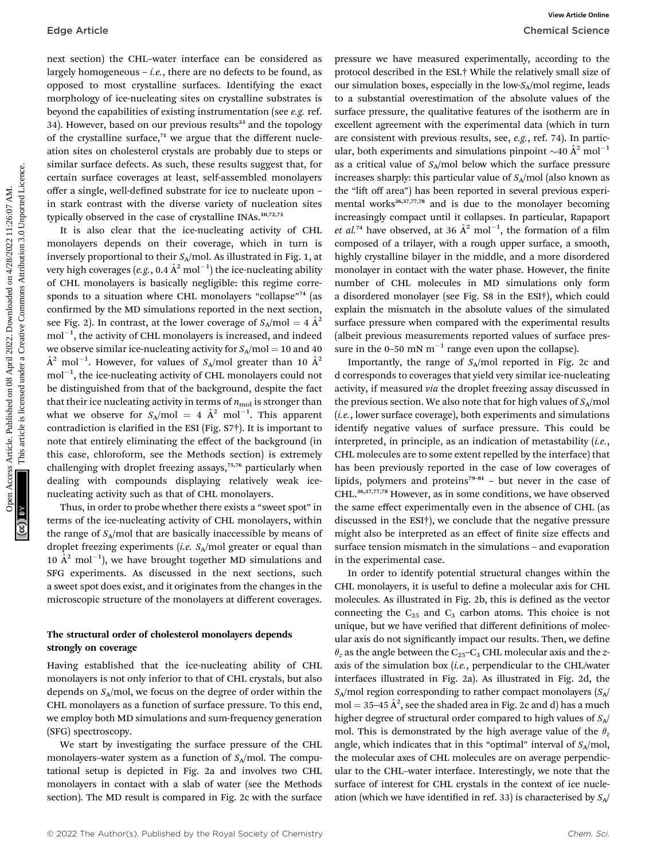next section) the CHL–water interface can be considered as largely homogeneous – *i.e.*, there are no defects to be found, as opposed to most crystalline surfaces. Identifying the exact morphology of ice-nucleating sites on crystalline substrates is beyond the capabilities of existing instrumentation (see e.g. ref. 34). However, based on our previous results<sup>33</sup> and the topology of the crystalline surface, $71$  we argue that the different nucleation sites on cholesterol crystals are probably due to steps or similar surface defects. As such, these results suggest that, for certain surface coverages at least, self-assembled monolayers offer a single, well-defined substrate for ice to nucleate upon – in stark contrast with the diverse variety of nucleation sites typically observed in the case of crystalline INAs.<sup>10,72,73</sup>

It is also clear that the ice-nucleating activity of CHL monolayers depends on their coverage, which in turn is inversely proportional to their  $S_A$ /mol. As illustrated in Fig. 1, at very high coverages (*e.g*., 0.4  $\rm \AA^2$  mol $^{-1})$  the ice-nucleating ability of CHL monolayers is basically negligible: this regime corresponds to a situation where CHL monolayers "collapse"<sup>74</sup> (as confirmed by the MD simulations reported in the next section, see Fig. 2). In contrast, at the lower coverage of  $S_A/mol = 4 \text{ Å}^2$  $\mathrm{mol}^{-1},$  the activity of CHL monolayers is increased, and indeed we observe similar ice-nucleating activity for  $S_A/mol = 10$  and 40  $\AA^2$  mol $^{-1}$ . However, for values of  $S_A/\text{mol}$  greater than 10  $\AA^2$  $\mathrm{mol}^{-1},$  the ice-nucleating activity of CHL monolayers could not be distinguished from that of the background, despite the fact that their ice nucleating activity in terms of  $n_{\text{mol}}$  is stronger than what we observe for  $S_A/\text{mol} = 4 \text{ Å}^2 \text{ mol}^{-1}$ . This apparent contradiction is clarified in the ESI (Fig.  $S7\dagger$ ). It is important to note that entirely eliminating the effect of the background (in this case, chloroform, see the Methods section) is extremely challenging with droplet freezing assays,<sup>75,76</sup> particularly when dealing with compounds displaying relatively weak icenucleating activity such as that of CHL monolayers.

Thus, in order to probe whether there exists a "sweet spot" in terms of the ice-nucleating activity of CHL monolayers, within the range of  $S_A$ /mol that are basically inaccessible by means of droplet freezing experiments (*i.e.*  $S_A$ /mol greater or equal than 10  $\AA^2$  mol<sup>-1</sup>), we have brought together MD simulations and SFG experiments. As discussed in the next sections, such a sweet spot does exist, and it originates from the changes in the microscopic structure of the monolayers at different coverages.

#### The structural order of cholesterol monolayers depends strongly on coverage

Having established that the ice-nucleating ability of CHL monolayers is not only inferior to that of CHL crystals, but also depends on  $S_A$ /mol, we focus on the degree of order within the CHL monolayers as a function of surface pressure. To this end, we employ both MD simulations and sum-frequency generation (SFG) spectroscopy.

We start by investigating the surface pressure of the CHL monolayers–water system as a function of  $S_A$ /mol. The computational setup is depicted in Fig. 2a and involves two CHL monolayers in contact with a slab of water (see the Methods section). The MD result is compared in Fig. 2c with the surface

pressure we have measured experimentally, according to the protocol described in the ESI.† While the relatively small size of our simulation boxes, especially in the low- $S_A$ /mol regime, leads to a substantial overestimation of the absolute values of the surface pressure, the qualitative features of the isotherm are in excellent agreement with the experimental data (which in turn are consistent with previous results, see, e.g., ref. 74). In particular, both experiments and simulations pinpoint  $\sim$ 40  $\AA$ <sup>2</sup> mol<sup>-1</sup> as a critical value of  $S_A$ /mol below which the surface pressure increases sharply: this particular value of  $S_A$ /mol (also known as the "lift off area") has been reported in several previous experimental works<sup>36,37,77,78</sup> and is due to the monolayer becoming increasingly compact until it collapses. In particular, Rapaport *et al.*<sup>74</sup> have observed, at 36  $\AA$ <sup>2</sup> mol<sup>-1</sup>, the formation of a film composed of a trilayer, with a rough upper surface, a smooth, highly crystalline bilayer in the middle, and a more disordered monolayer in contact with the water phase. However, the finite number of CHL molecules in MD simulations only form a disordered monolayer (see Fig. S8 in the ESI†), which could explain the mismatch in the absolute values of the simulated surface pressure when compared with the experimental results (albeit previous measurements reported values of surface pressure in the 0–50 mN  $m^{-1}$  range even upon the collapse). Edge Article Correction: The considered as pressure we have measured upper) in the transmission of the common and the same of the common and the same of the common and the same of the common and the common and the common

Importantly, the range of  $S_A$ /mol reported in Fig. 2c and d corresponds to coverages that yield very similar ice-nucleating activity, if measured via the droplet freezing assay discussed in the previous section. We also note that for high values of  $S_A$ /mol (i.e., lower surface coverage), both experiments and simulations identify negative values of surface pressure. This could be interpreted, in principle, as an indication of metastability  $(i.e.,$ CHL molecules are to some extent repelled by the interface) that has been previously reported in the case of low coverages of lipids, polymers and proteins<sup>79-81</sup> – but never in the case of CHL.36,37,77,78 However, as in some conditions, we have observed the same effect experimentally even in the absence of CHL (as discussed in the ESI†), we conclude that the negative pressure might also be interpreted as an effect of finite size effects and surface tension mismatch in the simulations – and evaporation in the experimental case.

In order to identify potential structural changes within the CHL monolayers, it is useful to define a molecular axis for CHL molecules. As illustrated in Fig. 2b, this is defined as the vector connecting the  $C_{25}$  and  $C_3$  carbon atoms. This choice is not unique, but we have verified that different definitions of molecular axis do not significantly impact our results. Then, we define  $\theta_z$  as the angle between the C<sub>25</sub>–C<sub>3</sub> CHL molecular axis and the zaxis of the simulation box  $(i.e.,$  perpendicular to the CHL/water interfaces illustrated in Fig. 2a). As illustrated in Fig. 2d, the  $S_A$ /mol region corresponding to rather compact monolayers  $(S_A)$  $mol = 35-45 \text{ Å}^2$ , see the shaded area in Fig. 2c and d) has a much higher degree of structural order compared to high values of  $S_A/$ mol. This is demonstrated by the high average value of the  $\theta_z$ angle, which indicates that in this "optimal" interval of  $S_A/mol$ , the molecular axes of CHL molecules are on average perpendicular to the CHL–water interface. Interestingly, we note that the surface of interest for CHL crystals in the context of ice nucleation (which we have identified in ref. 33) is characterised by  $S_A$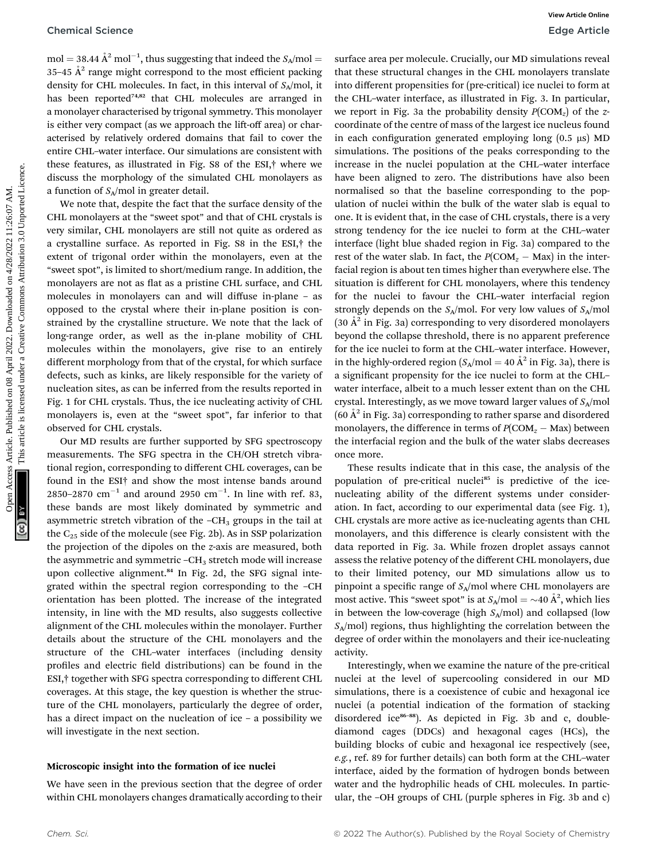$mol = 38.44 \text{ Å}^2 \text{ mol}^{-1}$ , thus suggesting that indeed the  $S_A/mol =$ 35–45  $A^2$  range might correspond to the most efficient packing density for CHL molecules. In fact, in this interval of  $S_A$ /mol, it has been reported<sup>74,82</sup> that CHL molecules are arranged in a monolayer characterised by trigonal symmetry. This monolayer is either very compact (as we approach the lift-off area) or characterised by relatively ordered domains that fail to cover the entire CHL–water interface. Our simulations are consistent with these features, as illustrated in Fig. S8 of the ESI,† where we discuss the morphology of the simulated CHL monolayers as a function of  $S_A$ /mol in greater detail.

We note that, despite the fact that the surface density of the CHL monolayers at the "sweet spot" and that of CHL crystals is very similar, CHL monolayers are still not quite as ordered as a crystalline surface. As reported in Fig. S8 in the ESI,† the extent of trigonal order within the monolayers, even at the "sweet spot", is limited to short/medium range. In addition, the monolayers are not as flat as a pristine CHL surface, and CHL molecules in monolayers can and will diffuse in-plane – as opposed to the crystal where their in-plane position is constrained by the crystalline structure. We note that the lack of long-range order, as well as the in-plane mobility of CHL molecules within the monolayers, give rise to an entirely different morphology from that of the crystal, for which surface defects, such as kinks, are likely responsible for the variety of nucleation sites, as can be inferred from the results reported in Fig. 1 for CHL crystals. Thus, the ice nucleating activity of CHL monolayers is, even at the "sweet spot", far inferior to that observed for CHL crystals.

Our MD results are further supported by SFG spectroscopy measurements. The SFG spectra in the CH/OH stretch vibrational region, corresponding to different CHL coverages, can be found in the ESI† and show the most intense bands around 2850–2870  $\text{cm}^{-1}$  and around 2950  $\text{cm}^{-1}$ . In line with ref. 83, these bands are most likely dominated by symmetric and asymmetric stretch vibration of the  $-CH<sub>3</sub>$  groups in the tail at the  $C_{25}$  side of the molecule (see Fig. 2b). As in SSP polarization the projection of the dipoles on the z-axis are measured, both the asymmetric and symmetric  $-CH_3$  stretch mode will increase upon collective alignment.<sup>84</sup> In Fig. 2d, the SFG signal integrated within the spectral region corresponding to the –CH orientation has been plotted. The increase of the integrated intensity, in line with the MD results, also suggests collective alignment of the CHL molecules within the monolayer. Further details about the structure of the CHL monolayers and the structure of the CHL–water interfaces (including density profiles and electric field distributions) can be found in the ESI,† together with SFG spectra corresponding to different CHL coverages. At this stage, the key question is whether the structure of the CHL monolayers, particularly the degree of order, has a direct impact on the nucleation of ice – a possibility we will investigate in the next section.

#### Microscopic insight into the formation of ice nuclei

We have seen in the previous section that the degree of order within CHL monolayers changes dramatically according to their

surface area per molecule. Crucially, our MD simulations reveal that these structural changes in the CHL monolayers translate into different propensities for (pre-critical) ice nuclei to form at the CHL–water interface, as illustrated in Fig. 3. In particular, we report in Fig. 3a the probability density  $P(COM<sub>z</sub>)$  of the zcoordinate of the centre of mass of the largest ice nucleus found in each configuration generated employing long  $(0.5 \mu s)$  MD simulations. The positions of the peaks corresponding to the increase in the nuclei population at the CHL–water interface have been aligned to zero. The distributions have also been normalised so that the baseline corresponding to the population of nuclei within the bulk of the water slab is equal to one. It is evident that, in the case of CHL crystals, there is a very strong tendency for the ice nuclei to form at the CHL–water interface (light blue shaded region in Fig. 3a) compared to the rest of the water slab. In fact, the  $P(COM_z - Max)$  in the interfacial region is about ten times higher than everywhere else. The situation is different for CHL monolayers, where this tendency for the nuclei to favour the CHL–water interfacial region strongly depends on the  $S_A$ /mol. For very low values of  $S_A$ /mol  $(30 \text{ Å}^2 \text{ in Fig. 3a})$  corresponding to very disordered monolayers beyond the collapse threshold, there is no apparent preference for the ice nuclei to form at the CHL–water interface. However, in the highly-ordered region  $(S_A/mol = 40 \text{ Å}^2 \text{ in Fig. 3a})$ , there is a significant propensity for the ice nuclei to form at the CHLwater interface, albeit to a much lesser extent than on the CHL crystal. Interestingly, as we move toward larger values of  $S_A$ /mol  $(60 \text{ Å}^2 \text{ in Fig. 3a})$  corresponding to rather sparse and disordered monolayers, the difference in terms of  $P(COM_z - Max)$  between the interfacial region and the bulk of the water slabs decreases once more. Chemical Science<br>
One Action and the subset of the search of the search of the search of the search of the search of the search of the search of the search of the search of the search of the search of the search of the se

These results indicate that in this case, the analysis of the population of pre-critical nuclei<sup>85</sup> is predictive of the icenucleating ability of the different systems under consideration. In fact, according to our experimental data (see Fig. 1), CHL crystals are more active as ice-nucleating agents than CHL monolayers, and this difference is clearly consistent with the data reported in Fig. 3a. While frozen droplet assays cannot assess the relative potency of the different CHL monolayers, due to their limited potency, our MD simulations allow us to pinpoint a specific range of  $S_A$ /mol where CHL monolayers are most active. This "sweet spot" is at  $S_A/\text{mol} = \sim 40 \text{ Å}^2$ , which lies in between the low-coverage (high  $S_A/mol$ ) and collapsed (low  $S_A$ /mol) regions, thus highlighting the correlation between the degree of order within the monolayers and their ice-nucleating activity.

Interestingly, when we examine the nature of the pre-critical nuclei at the level of supercooling considered in our MD simulations, there is a coexistence of cubic and hexagonal ice nuclei (a potential indication of the formation of stacking disordered ice<sup>86-88</sup>). As depicted in Fig. 3b and c, doublediamond cages (DDCs) and hexagonal cages (HCs), the building blocks of cubic and hexagonal ice respectively (see, e.g., ref. 89 for further details) can both form at the CHL–water interface, aided by the formation of hydrogen bonds between water and the hydrophilic heads of CHL molecules. In particular, the –OH groups of CHL (purple spheres in Fig. 3b and c)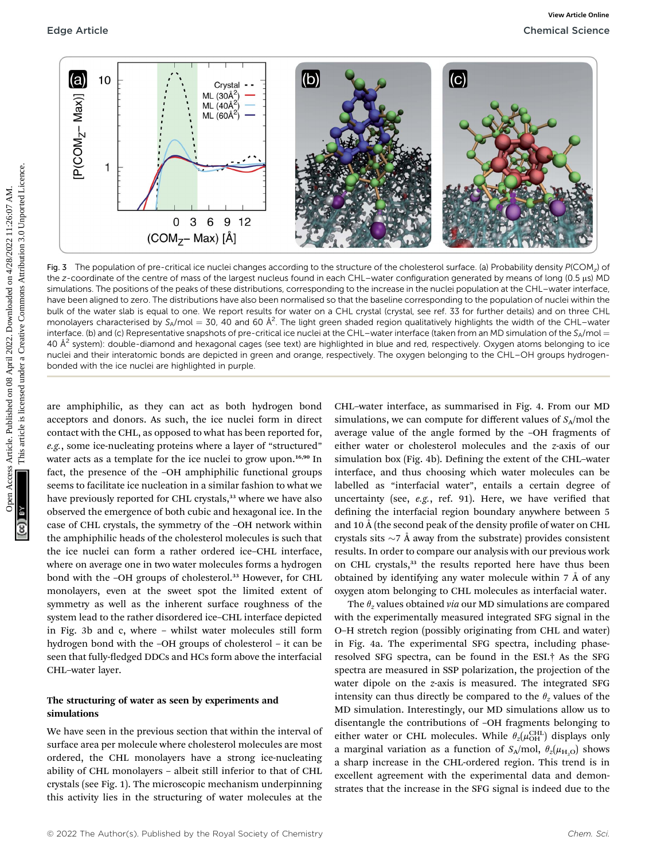

Fig. 3 The population of pre-critical ice nuclei changes according to the structure of the cholesterol surface. (a) Probability density  $P(COM<sub>z</sub>)$  of the z-coordinate of the centre of mass of the largest nucleus found in each CHL–water configuration generated by means of long (0.5 µs) MD simulations. The positions of the peaks of these distributions, corresponding to the increase in the nuclei population at the CHL–water interface, have been aligned to zero. The distributions have also been normalised so that the baseline corresponding to the population of nuclei within the bulk of the water slab is equal to one. We report results for water on a CHL crystal (crystal, see ref. 33 for further details) and on three CHL monolayers characterised by S<sub>A</sub>/mol = 30, 40 and 60 Å<sup>2</sup>. The light green shaded region qualitatively highlights the width of the CHL–water interface. (b) and (c) Representative snapshots of pre-critical ice nuclei at the CHL-water interface (taken from an MD simulation of the SA/mol = 40  $A<sup>2</sup>$  system): double-diamond and hexagonal cages (see text) are highlighted in blue and red, respectively. Oxygen atoms belonging to ice nuclei and their interatomic bonds are depicted in green and orange, respectively. The oxygen belonging to the CHL–OH groups hydrogenbonded with the ice nuclei are highlighted in purple.

are amphiphilic, as they can act as both hydrogen bond acceptors and donors. As such, the ice nuclei form in direct contact with the CHL, as opposed to what has been reported for, e.g., some ice-nucleating proteins where a layer of "structured" water acts as a template for the ice nuclei to grow upon.<sup>16,90</sup> In fact, the presence of the –OH amphiphilic functional groups seems to facilitate ice nucleation in a similar fashion to what we have previously reported for CHL crystals,<sup>33</sup> where we have also observed the emergence of both cubic and hexagonal ice. In the case of CHL crystals, the symmetry of the –OH network within the amphiphilic heads of the cholesterol molecules is such that the ice nuclei can form a rather ordered ice–CHL interface, where on average one in two water molecules forms a hydrogen bond with the -OH groups of cholesterol.<sup>33</sup> However, for CHL monolayers, even at the sweet spot the limited extent of symmetry as well as the inherent surface roughness of the system lead to the rather disordered ice–CHL interface depicted in Fig. 3b and c, where – whilst water molecules still form hydrogen bond with the –OH groups of cholesterol – it can be seen that fully-fledged DDCs and HCs form above the interfacial CHL–water layer.

#### The structuring of water as seen by experiments and simulations

We have seen in the previous section that within the interval of surface area per molecule where cholesterol molecules are most ordered, the CHL monolayers have a strong ice-nucleating ability of CHL monolayers – albeit still inferior to that of CHL crystals (see Fig. 1). The microscopic mechanism underpinning this activity lies in the structuring of water molecules at the

CHL–water interface, as summarised in Fig. 4. From our MD simulations, we can compute for different values of  $S_A$ /mol the average value of the angle formed by the –OH fragments of either water or cholesterol molecules and the z-axis of our simulation box (Fig. 4b). Defining the extent of the CHL-water interface, and thus choosing which water molecules can be labelled as "interfacial water", entails a certain degree of uncertainty (see,  $e.g.,$  ref. 91). Here, we have verified that defining the interfacial region boundary anywhere between 5 and 10 Å (the second peak of the density profile of water on CHL crystals sits  $\sim$ 7 Å away from the substrate) provides consistent results. In order to compare our analysis with our previous work on CHL crystals,<sup>33</sup> the results reported here have thus been obtained by identifying any water molecule within  $7 \text{ Å}$  of any oxygen atom belonging to CHL molecules as interfacial water.

The  $\theta$ <sub>z</sub> values obtained *via* our MD simulations are compared with the experimentally measured integrated SFG signal in the O–H stretch region (possibly originating from CHL and water) in Fig. 4a. The experimental SFG spectra, including phaseresolved SFG spectra, can be found in the ESI.† As the SFG spectra are measured in SSP polarization, the projection of the water dipole on the z-axis is measured. The integrated SFG intensity can thus directly be compared to the  $\theta_z$  values of the MD simulation. Interestingly, our MD simulations allow us to disentangle the contributions of –OH fragments belonging to either water or CHL molecules. While  $\theta_z(\mu_{\text{OH}}^{\text{CHL}})$  displays only a marginal variation as a function of  $S_A/mol$ ,  $\theta_z(\mu_{H,Q})$  shows a sharp increase in the CHL-ordered region. This trend is in excellent agreement with the experimental data and demonstrates that the increase in the SFG signal is indeed due to the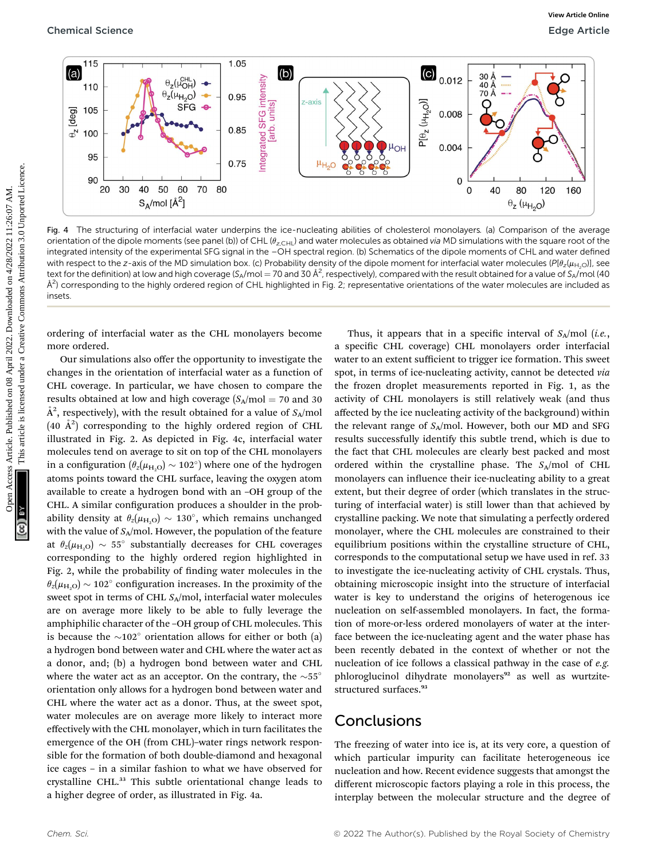

Fig. 4 The structuring of interfacial water underpins the ice-nucleating abilities of cholesterol monolayers. (a) Comparison of the average orientation of the dipole moments (see panel (b)) of CHL ( $\theta_{z,CHL}$ ) and water molecules as obtained via MD simulations with the square root of the integrated intensity of the experimental SFG signal in the –OH spectral region. (b) Schematics of the dipole moments of CHL and water defined with respect to the z-axis of the MD simulation box. (c) Probability density of the dipole moment for interfacial water molecules ( $Pl_{2}(\mu_{H<sub>10</sub>})$ ], see text for the definition) at low and high coverage (S<sub>A</sub>/mol = 70 and 30 Å<sup>2</sup>, respectively), compared with the result obtained for a value of S<sub>A</sub>/mol (40  $\AA^2$ ) corresponding to the highly ordered region of CHL highlighted in Fig. 2; representative orientations of the water molecules are included as insets.

ordering of interfacial water as the CHL monolayers become more ordered.

Our simulations also offer the opportunity to investigate the changes in the orientation of interfacial water as a function of CHL coverage. In particular, we have chosen to compare the results obtained at low and high coverage  $(S_A/mol = 70$  and 30  $\AA^2$ , respectively), with the result obtained for a value of  $S_A/\rm{mol}$  $(40 \text{ Å}^2)$  corresponding to the highly ordered region of CHL illustrated in Fig. 2. As depicted in Fig. 4c, interfacial water molecules tend on average to sit on top of the CHL monolayers in a configuration  $(\theta_z(\mu_{H,O}) \sim 102)$  where one of the hydrogen atoms points toward the CHL surface, leaving the oxygen atom available to create a hydrogen bond with an –OH group of the CHL. A similar configuration produces a shoulder in the probability density at  $\theta_z(\mu_{H,Q}) \sim 130^\circ$ , which remains unchanged with the value of  $S_A$ /mol. However, the population of the feature at  $\theta_z(\mu_{H,O}) \sim 55^\circ$  substantially decreases for CHL coverages corresponding to the highly ordered region highlighted in Fig. 2, while the probability of finding water molecules in the  $\theta_z(\mu_{\rm H, O}) \sim 102^\circ$  configuration increases. In the proximity of the sweet spot in terms of CHL  $S_A$ /mol, interfacial water molecules are on average more likely to be able to fully leverage the amphiphilic character of the –OH group of CHL molecules. This is because the  $\sim$ 102 $^{\circ}$  orientation allows for either or both (a) a hydrogen bond between water and CHL where the water act as a donor, and; (b) a hydrogen bond between water and CHL where the water act as an acceptor. On the contrary, the  $\sim$ 55° orientation only allows for a hydrogen bond between water and CHL where the water act as a donor. Thus, at the sweet spot, water molecules are on average more likely to interact more effectively with the CHL monolayer, which in turn facilitates the emergence of the OH (from CHL)–water rings network responsible for the formation of both double-diamond and hexagonal ice cages – in a similar fashion to what we have observed for crystalline CHL.<sup>33</sup> This subtle orientational change leads to a higher degree of order, as illustrated in Fig. 4a.

Thus, it appears that in a specific interval of  $S_A/mol$  (*i.e.*, a specific CHL coverage) CHL monolayers order interfacial water to an extent sufficient to trigger ice formation. This sweet spot, in terms of ice-nucleating activity, cannot be detected via the frozen droplet measurements reported in Fig. 1, as the activity of CHL monolayers is still relatively weak (and thus affected by the ice nucleating activity of the background) within the relevant range of  $S_A$ /mol. However, both our MD and SFG results successfully identify this subtle trend, which is due to the fact that CHL molecules are clearly best packed and most ordered within the crystalline phase. The  $S_A$ /mol of CHL monolayers can influence their ice-nucleating ability to a great extent, but their degree of order (which translates in the structuring of interfacial water) is still lower than that achieved by crystalline packing. We note that simulating a perfectly ordered monolayer, where the CHL molecules are constrained to their equilibrium positions within the crystalline structure of CHL, corresponds to the computational setup we have used in ref. 33 to investigate the ice-nucleating activity of CHL crystals. Thus, obtaining microscopic insight into the structure of interfacial water is key to understand the origins of heterogenous ice nucleation on self-assembled monolayers. In fact, the formation of more-or-less ordered monolayers of water at the interface between the ice-nucleating agent and the water phase has been recently debated in the context of whether or not the nucleation of ice follows a classical pathway in the case of e.g. phloroglucinol dihydrate monolayers<sup>92</sup> as well as wurtzitestructured surfaces.<sup>93</sup>

## Conclusions

The freezing of water into ice is, at its very core, a question of which particular impurity can facilitate heterogeneous ice nucleation and how. Recent evidence suggests that amongst the different microscopic factors playing a role in this process, the interplay between the molecular structure and the degree of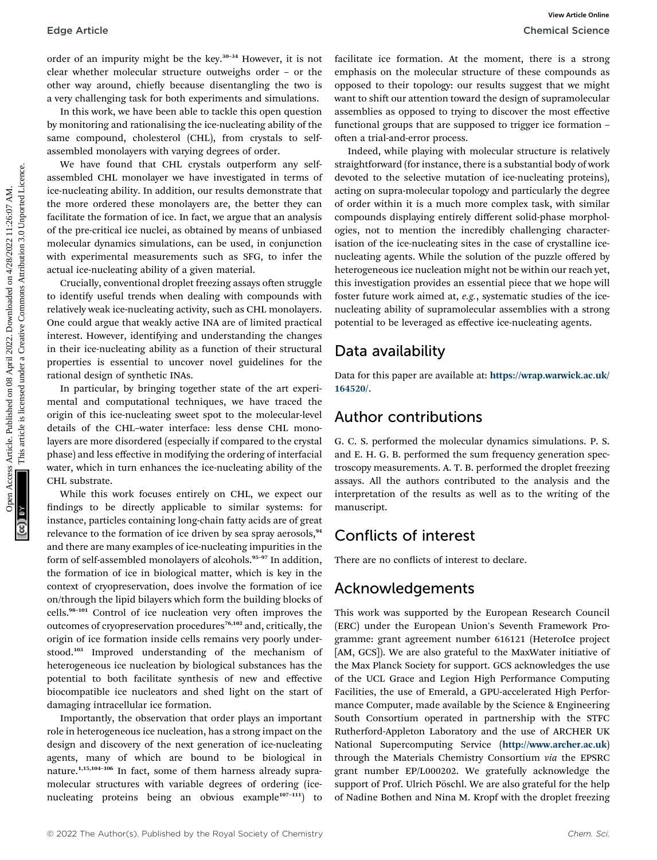order of an impurity might be the key.<sup>30-34</sup> However, it is not clear whether molecular structure outweighs order – or the other way around, chiefly because disentangling the two is a very challenging task for both experiments and simulations.

In this work, we have been able to tackle this open question by monitoring and rationalising the ice-nucleating ability of the same compound, cholesterol (CHL), from crystals to selfassembled monolayers with varying degrees of order.

We have found that CHL crystals outperform any selfassembled CHL monolayer we have investigated in terms of ice-nucleating ability. In addition, our results demonstrate that the more ordered these monolayers are, the better they can facilitate the formation of ice. In fact, we argue that an analysis of the pre-critical ice nuclei, as obtained by means of unbiased molecular dynamics simulations, can be used, in conjunction with experimental measurements such as SFG, to infer the actual ice-nucleating ability of a given material.

Crucially, conventional droplet freezing assays often struggle to identify useful trends when dealing with compounds with relatively weak ice-nucleating activity, such as CHL monolayers. One could argue that weakly active INA are of limited practical interest. However, identifying and understanding the changes in their ice-nucleating ability as a function of their structural properties is essential to uncover novel guidelines for the rational design of synthetic INAs.

In particular, by bringing together state of the art experimental and computational techniques, we have traced the origin of this ice-nucleating sweet spot to the molecular-level details of the CHL–water interface: less dense CHL monolayers are more disordered (especially if compared to the crystal phase) and less effective in modifying the ordering of interfacial water, which in turn enhances the ice-nucleating ability of the CHL substrate.

While this work focuses entirely on CHL, we expect our ndings to be directly applicable to similar systems: for instance, particles containing long-chain fatty acids are of great relevance to the formation of ice driven by sea spray aerosols,<sup>94</sup> and there are many examples of ice-nucleating impurities in the form of self-assembled monolayers of alcohols.<sup>95-97</sup> In addition, the formation of ice in biological matter, which is key in the context of cryopreservation, does involve the formation of ice on/through the lipid bilayers which form the building blocks of cells.<sup>98-101</sup> Control of ice nucleation very often improves the outcomes of cryopreservation procedures<sup>76,102</sup> and, critically, the origin of ice formation inside cells remains very poorly understood.<sup>103</sup> Improved understanding of the mechanism of heterogeneous ice nucleation by biological substances has the potential to both facilitate synthesis of new and effective biocompatible ice nucleators and shed light on the start of damaging intracellular ice formation.

Importantly, the observation that order plays an important role in heterogeneous ice nucleation, has a strong impact on the design and discovery of the next generation of ice-nucleating agents, many of which are bound to be biological in nature.1,15,104–<sup>106</sup> In fact, some of them harness already supramolecular structures with variable degrees of ordering (icenucleating proteins being an obvious example<sup>107-111</sup>) to

facilitate ice formation. At the moment, there is a strong emphasis on the molecular structure of these compounds as opposed to their topology: our results suggest that we might want to shift our attention toward the design of supramolecular assemblies as opposed to trying to discover the most effective functional groups that are supposed to trigger ice formation – often a trial-and-error process.

Indeed, while playing with molecular structure is relatively straightforward (for instance, there is a substantial body of work devoted to the selective mutation of ice-nucleating proteins), acting on supra-molecular topology and particularly the degree of order within it is a much more complex task, with similar compounds displaying entirely different solid-phase morphologies, not to mention the incredibly challenging characterisation of the ice-nucleating sites in the case of crystalline icenucleating agents. While the solution of the puzzle offered by heterogeneous ice nucleation might not be within our reach yet, this investigation provides an essential piece that we hope will foster future work aimed at, e.g., systematic studies of the icenucleating ability of supramolecular assemblies with a strong potential to be leveraged as effective ice-nucleating agents. Edge Article<br>
order of an inquirity might be the key.<sup>34</sup> However, it is not further infraction for the included on the theorem when the computer of the computer of the computer of the computer of the computer of the compu

## Data availability

Data for this paper are available at: [https://wrap.warwick.ac.uk/](https://wrap.warwick.ac.uk/164520/) [164520/](https://wrap.warwick.ac.uk/164520/).

## Author contributions

G. C. S. performed the molecular dynamics simulations. P. S. and E. H. G. B. performed the sum frequency generation spectroscopy measurements. A. T. B. performed the droplet freezing assays. All the authors contributed to the analysis and the interpretation of the results as well as to the writing of the manuscript.

## Conflicts of interest

There are no conflicts of interest to declare.

## Acknowledgements

This work was supported by the European Research Council (ERC) under the European Union's Seventh Framework Programme: grant agreement number 616121 (HeteroIce project [AM, GCS]). We are also grateful to the MaxWater initiative of the Max Planck Society for support. GCS acknowledges the use of the UCL Grace and Legion High Performance Computing Facilities, the use of Emerald, a GPU-accelerated High Performance Computer, made available by the Science & Engineering South Consortium operated in partnership with the STFC Rutherford-Appleton Laboratory and the use of ARCHER UK National Supercomputing Service (<http://www.archer.ac.uk>) through the Materials Chemistry Consortium via the EPSRC grant number EP/L000202. We gratefully acknowledge the support of Prof. Ulrich Pöschl. We are also grateful for the help of Nadine Bothen and Nina M. Kropf with the droplet freezing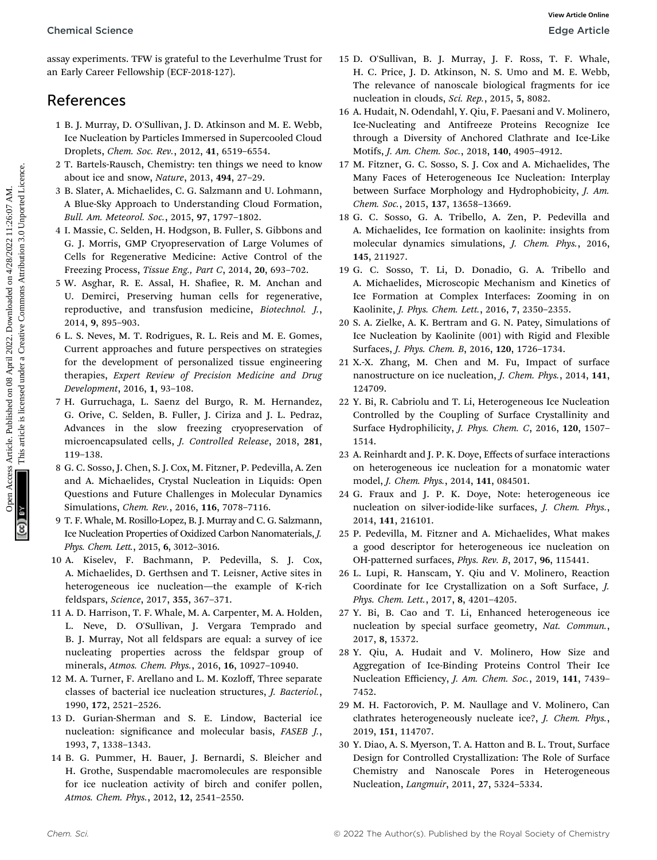assay experiments. TFW is grateful to the Leverhulme Trust for an Early Career Fellowship (ECF-2018-127).

## References

- 1 B. J. Murray, D. O'Sullivan, J. D. Atkinson and M. E. Webb, Ice Nucleation by Particles Immersed in Supercooled Cloud Droplets, Chem. Soc. Rev., 2012, 41, 6519–6554.
- 2 T. Bartels-Rausch, Chemistry: ten things we need to know about ice and snow, Nature, 2013, 494, 27–29.
- 3 B. Slater, A. Michaelides, C. G. Salzmann and U. Lohmann, A Blue-Sky Approach to Understanding Cloud Formation, Bull. Am. Meteorol. Soc., 2015, 97, 1797–1802.
- 4 I. Massie, C. Selden, H. Hodgson, B. Fuller, S. Gibbons and G. J. Morris, GMP Cryopreservation of Large Volumes of Cells for Regenerative Medicine: Active Control of the Freezing Process, Tissue Eng., Part C, 2014, 20, 693–702.
- 5 W. Asghar, R. E. Assal, H. Shafiee, R. M. Anchan and U. Demirci, Preserving human cells for regenerative, reproductive, and transfusion medicine, Biotechnol. J., 2014, 9, 895–903.
- 6 L. S. Neves, M. T. Rodrigues, R. L. Reis and M. E. Gomes, Current approaches and future perspectives on strategies for the development of personalized tissue engineering therapies, Expert Review of Precision Medicine and Drug Development, 2016, 1, 93–108. Chemical Science<br>
State Article and McCess Article 2022. The New York 1980 Article is the New York 1980 Article is the New York 1980 Article is likensed under the New York 1980 Article is likensed under the New York 1980
	- 7 H. Gurruchaga, L. Saenz del Burgo, R. M. Hernandez, G. Orive, C. Selden, B. Fuller, J. Ciriza and J. L. Pedraz, Advances in the slow freezing cryopreservation of microencapsulated cells, J. Controlled Release, 2018, 281, 119–138.
	- 8 G. C. Sosso, J. Chen, S. J. Cox, M. Fitzner, P. Pedevilla, A. Zen and A. Michaelides, Crystal Nucleation in Liquids: Open Questions and Future Challenges in Molecular Dynamics Simulations, Chem. Rev., 2016, 116, 7078–7116.
	- 9 T. F. Whale, M. Rosillo-Lopez, B. J. Murray and C. G. Salzmann, Ice Nucleation Properties of Oxidized Carbon Nanomaterials, J. Phys. Chem. Lett., 2015, 6, 3012–3016.
	- 10 A. Kiselev, F. Bachmann, P. Pedevilla, S. J. Cox, A. Michaelides, D. Gerthsen and T. Leisner, Active sites in heterogeneous ice nucleation—the example of K-rich feldspars, Science, 2017, 355, 367–371.
	- 11 A. D. Harrison, T. F. Whale, M. A. Carpenter, M. A. Holden, L. Neve, D. O'Sullivan, J. Vergara Temprado and B. J. Murray, Not all feldspars are equal: a survey of ice nucleating properties across the feldspar group of minerals, Atmos. Chem. Phys., 2016, 16, 10927–10940.
	- 12 M. A. Turner, F. Arellano and L. M. Kozloff, Three separate classes of bacterial ice nucleation structures, J. Bacteriol., 1990, 172, 2521–2526.
	- 13 D. Gurian-Sherman and S. E. Lindow, Bacterial ice nucleation: significance and molecular basis, FASEB J., 1993, 7, 1338–1343.
	- 14 B. G. Pummer, H. Bauer, J. Bernardi, S. Bleicher and H. Grothe, Suspendable macromolecules are responsible for ice nucleation activity of birch and conifer pollen, Atmos. Chem. Phys., 2012, 12, 2541–2550.
- 15 D. O'Sullivan, B. J. Murray, J. F. Ross, T. F. Whale, H. C. Price, J. D. Atkinson, N. S. Umo and M. E. Webb, The relevance of nanoscale biological fragments for ice nucleation in clouds, Sci. Rep., 2015, 5, 8082.
- 16 A. Hudait, N. Odendahl, Y. Qiu, F. Paesani and V. Molinero, Ice-Nucleating and Antifreeze Proteins Recognize Ice through a Diversity of Anchored Clathrate and Ice-Like Motifs, J. Am. Chem. Soc., 2018, 140, 4905–4912.
- 17 M. Fitzner, G. C. Sosso, S. J. Cox and A. Michaelides, The Many Faces of Heterogeneous Ice Nucleation: Interplay between Surface Morphology and Hydrophobicity, J. Am. Chem. Soc., 2015, 137, 13658–13669.
- 18 G. C. Sosso, G. A. Tribello, A. Zen, P. Pedevilla and A. Michaelides, Ice formation on kaolinite: insights from molecular dynamics simulations, J. Chem. Phys., 2016, 145, 211927.
- 19 G. C. Sosso, T. Li, D. Donadio, G. A. Tribello and A. Michaelides, Microscopic Mechanism and Kinetics of Ice Formation at Complex Interfaces: Zooming in on Kaolinite, J. Phys. Chem. Lett., 2016, 7, 2350–2355.
- 20 S. A. Zielke, A. K. Bertram and G. N. Patey, Simulations of Ice Nucleation by Kaolinite (001) with Rigid and Flexible Surfaces, J. Phys. Chem. B, 2016, 120, 1726–1734.
- 21 X.-X. Zhang, M. Chen and M. Fu, Impact of surface nanostructure on ice nucleation, J. Chem. Phys., 2014, 141, 124709.
- 22 Y. Bi, R. Cabriolu and T. Li, Heterogeneous Ice Nucleation Controlled by the Coupling of Surface Crystallinity and Surface Hydrophilicity, J. Phys. Chem. C, 2016, 120, 1507– 1514.
- 23 A. Reinhardt and J. P. K. Doye, Effects of surface interactions on heterogeneous ice nucleation for a monatomic water model, J. Chem. Phys., 2014, 141, 084501.
- 24 G. Fraux and J. P. K. Doye, Note: heterogeneous ice nucleation on silver-iodide-like surfaces, J. Chem. Phys., 2014, 141, 216101.
- 25 P. Pedevilla, M. Fitzner and A. Michaelides, What makes a good descriptor for heterogeneous ice nucleation on OH-patterned surfaces, Phys. Rev. B, 2017, 96, 115441.
- 26 L. Lupi, R. Hanscam, Y. Qiu and V. Molinero, Reaction Coordinate for Ice Crystallization on a Soft Surface, J. Phys. Chem. Lett., 2017, 8, 4201–4205.
- 27 Y. Bi, B. Cao and T. Li, Enhanced heterogeneous ice nucleation by special surface geometry, Nat. Commun., 2017, 8, 15372.
- 28 Y. Qiu, A. Hudait and V. Molinero, How Size and Aggregation of Ice-Binding Proteins Control Their Ice Nucleation Efficiency, J. Am. Chem. Soc., 2019, 141, 7439– 7452.
- 29 M. H. Factorovich, P. M. Naullage and V. Molinero, Can clathrates heterogeneously nucleate ice?, J. Chem. Phys., 2019, 151, 114707.
- 30 Y. Diao, A. S. Myerson, T. A. Hatton and B. L. Trout, Surface Design for Controlled Crystallization: The Role of Surface Chemistry and Nanoscale Pores in Heterogeneous Nucleation, Langmuir, 2011, 27, 5324–5334.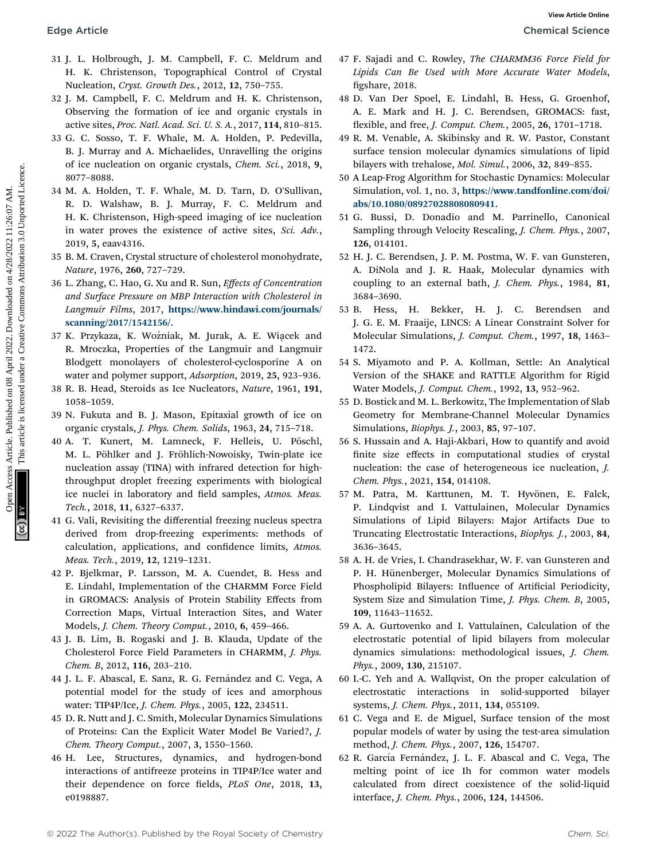- 31 J. L. Holbrough, J. M. Campbell, F. C. Meldrum and H. K. Christenson, Topographical Control of Crystal Nucleation, Cryst. Growth Des., 2012, 12, 750–755.
- 32 J. M. Campbell, F. C. Meldrum and H. K. Christenson, Observing the formation of ice and organic crystals in active sites, Proc. Natl. Acad. Sci. U. S. A., 2017, 114, 810–815.
- 33 G. C. Sosso, T. F. Whale, M. A. Holden, P. Pedevilla, B. J. Murray and A. Michaelides, Unravelling the origins of ice nucleation on organic crystals, Chem. Sci., 2018, 9, 8077–8088.
- 34 M. A. Holden, T. F. Whale, M. D. Tarn, D. O'Sullivan, R. D. Walshaw, B. J. Murray, F. C. Meldrum and H. K. Christenson, High-speed imaging of ice nucleation in water proves the existence of active sites, Sci. Adv., 2019, 5, eaav4316.
- 35 B. M. Craven, Crystal structure of cholesterol monohydrate, Nature, 1976, 260, 727–729.
- 36 L. Zhang, C. Hao, G. Xu and R. Sun, Effects of Concentration and Surface Pressure on MBP Interaction with Cholesterol in Langmuir Films, 2017, [https://www.hindawi.com/journals/](https://www.hindawi.com/journals/scanning/2017/1542156/) [scanning/2017/1542156/](https://www.hindawi.com/journals/scanning/2017/1542156/).
- 37 K. Przykaza, K. Woźniak, M. Jurak, A. E. Wiącek and R. Mroczka, Properties of the Langmuir and Langmuir Blodgett monolayers of cholesterol-cyclosporine A on water and polymer support, Adsorption, 2019, 25, 923–936.
- 38 R. B. Head, Steroids as Ice Nucleators, Nature, 1961, 191, 1058–1059.
- 39 N. Fukuta and B. J. Mason, Epitaxial growth of ice on organic crystals, J. Phys. Chem. Solids, 1963, 24, 715–718.
- 40 A. T. Kunert, M. Lamneck, F. Helleis, U. Pöschl, M. L. Pöhlker and J. Fröhlich-Nowoisky, Twin-plate ice nucleation assay (TINA) with infrared detection for highthroughput droplet freezing experiments with biological ice nuclei in laboratory and field samples, Atmos. Meas. Tech., 2018, 11, 6327–6337. Edge Article Chineses Article Chineses Articles. Articles. Articles. Articles. Articles. Articles. Articles. Articles. Articles. Articles. Articles. Articles. Articles. Articles. Articles. Articles. Articles. Articles. Ar
	- 41 G. Vali, Revisiting the differential freezing nucleus spectra derived from drop-freezing experiments: methods of calculation, applications, and confidence limits, Atmos. Meas. Tech., 2019, 12, 1219–1231.
	- 42 P. Bjelkmar, P. Larsson, M. A. Cuendet, B. Hess and E. Lindahl, Implementation of the CHARMM Force Field in GROMACS: Analysis of Protein Stability Effects from Correction Maps, Virtual Interaction Sites, and Water Models, J. Chem. Theory Comput., 2010, 6, 459–466.
	- 43 J. B. Lim, B. Rogaski and J. B. Klauda, Update of the Cholesterol Force Field Parameters in CHARMM, J. Phys. Chem. B, 2012, 116, 203–210.
	- 44 J. L. F. Abascal, E. Sanz, R. G. Fernández and C. Vega, A potential model for the study of ices and amorphous water: TIP4P/Ice, J. Chem. Phys., 2005, 122, 234511.
	- 45 D. R. Nutt and J. C. Smith, Molecular Dynamics Simulations of Proteins: Can the Explicit Water Model Be Varied?, J. Chem. Theory Comput., 2007, 3, 1550–1560.
	- 46 H. Lee, Structures, dynamics, and hydrogen-bond interactions of antifreeze proteins in TIP4P/Ice water and their dependence on force fields, PLoS One, 2018, 13, e0198887.
- 47 F. Sajadi and C. Rowley, The CHARMM36 Force Field for Lipids Can Be Used with More Accurate Water Models, figshare, 2018.
- 48 D. Van Der Spoel, E. Lindahl, B. Hess, G. Groenhof, A. E. Mark and H. J. C. Berendsen, GROMACS: fast, flexible, and free, *J. Comput. Chem.*, 2005, 26, 1701-1718.
- 49 R. M. Venable, A. Skibinsky and R. W. Pastor, Constant surface tension molecular dynamics simulations of lipid bilayers with trehalose, Mol. Simul., 2006, 32, 849–855.
- 50 A Leap-Frog Algorithm for Stochastic Dynamics: Molecular Simulation, vol. 1, no. 3, [https://www.tandfonline.com/doi/](https://www.tandfonline.com/doi/abs/10.1080/08927028808080941) [abs/10.1080/08927028808080941](https://www.tandfonline.com/doi/abs/10.1080/08927028808080941).
- 51 G. Bussi, D. Donadio and M. Parrinello, Canonical Sampling through Velocity Rescaling, J. Chem. Phys., 2007, 126, 014101.
- 52 H. J. C. Berendsen, J. P. M. Postma, W. F. van Gunsteren, A. DiNola and J. R. Haak, Molecular dynamics with coupling to an external bath, J. Chem. Phys., 1984, 81, 3684–3690.
- 53 B. Hess, H. Bekker, H. J. C. Berendsen and J. G. E. M. Fraaije, LINCS: A Linear Constraint Solver for Molecular Simulations, J. Comput. Chem., 1997, 18, 1463– 1472.
- 54 S. Miyamoto and P. A. Kollman, Settle: An Analytical Version of the SHAKE and RATTLE Algorithm for Rigid Water Models, J. Comput. Chem., 1992, 13, 952–962.
- 55 D. Bostick and M. L. Berkowitz, The Implementation of Slab Geometry for Membrane-Channel Molecular Dynamics Simulations, Biophys. J., 2003, 85, 97–107.
- 56 S. Hussain and A. Haji-Akbari, How to quantify and avoid finite size effects in computational studies of crystal nucleation: the case of heterogeneous ice nucleation, J. Chem. Phys., 2021, 154, 014108.
- 57 M. Patra, M. Karttunen, M. T. Hyvönen, E. Falck, P. Lindqvist and I. Vattulainen, Molecular Dynamics Simulations of Lipid Bilayers: Major Artifacts Due to Truncating Electrostatic Interactions, Biophys. J., 2003, 84, 3636–3645.
- 58 A. H. de Vries, I. Chandrasekhar, W. F. van Gunsteren and P. H. Hünenberger, Molecular Dynamics Simulations of Phospholipid Bilayers: Influence of Artificial Periodicity, System Size and Simulation Time, J. Phys. Chem. B, 2005, 109, 11643–11652.
- 59 A. A. Gurtovenko and I. Vattulainen, Calculation of the electrostatic potential of lipid bilayers from molecular dynamics simulations: methodological issues, J. Chem. Phys., 2009, 130, 215107.
- 60 I.-C. Yeh and A. Wallqvist, On the proper calculation of electrostatic interactions in solid-supported bilayer systems, J. Chem. Phys., 2011, 134, 055109.
- 61 C. Vega and E. de Miguel, Surface tension of the most popular models of water by using the test-area simulation method, J. Chem. Phys., 2007, 126, 154707.
- 62 R. García Fernández, J. L. F. Abascal and C. Vega, The melting point of ice Ih for common water models calculated from direct coexistence of the solid-liquid interface, J. Chem. Phys., 2006, 124, 144506.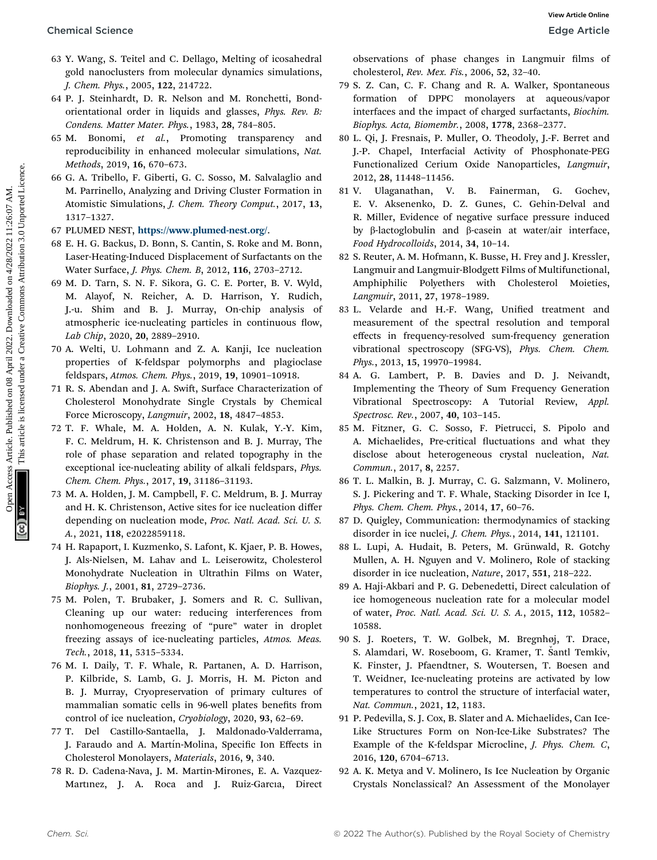- 63 Y. Wang, S. Teitel and C. Dellago, Melting of icosahedral gold nanoclusters from molecular dynamics simulations, J. Chem. Phys., 2005, 122, 214722.
- 64 P. J. Steinhardt, D. R. Nelson and M. Ronchetti, Bondorientational order in liquids and glasses, Phys. Rev. B: Condens. Matter Mater. Phys., 1983, 28, 784–805.
- 65 M. Bonomi, et al., Promoting transparency and reproducibility in enhanced molecular simulations, Nat. Methods, 2019, 16, 670–673.
- 66 G. A. Tribello, F. Giberti, G. C. Sosso, M. Salvalaglio and M. Parrinello, Analyzing and Driving Cluster Formation in Atomistic Simulations, J. Chem. Theory Comput., 2017, 13, 1317–1327.
- 67 PLUMED NEST, <https://www.plumed-nest.org/>.
- 68 E. H. G. Backus, D. Bonn, S. Cantin, S. Roke and M. Bonn, Laser-Heating-Induced Displacement of Surfactants on the Water Surface, J. Phys. Chem. B, 2012, 116, 2703–2712.
- 69 M. D. Tarn, S. N. F. Sikora, G. C. E. Porter, B. V. Wyld, M. Alayof, N. Reicher, A. D. Harrison, Y. Rudich, J.-u. Shim and B. J. Murray, On-chip analysis of atmospheric ice-nucleating particles in continuous flow, Lab Chip, 2020, 20, 2889–2910. Chemical Science<br>
Solution and C. Deligon, Mohing of icosahedral observations, for Mac<sub>e</sub> Chemical on 11:25:07 AM. This article is likensed under the material of the state of the state of the state of the state of the sta
	- 70 A. Welti, U. Lohmann and Z. A. Kanji, Ice nucleation properties of K-feldspar polymorphs and plagioclase feldspars, Atmos. Chem. Phys., 2019, 19, 10901–10918.
	- 71 R. S. Abendan and J. A. Swift, Surface Characterization of Cholesterol Monohydrate Single Crystals by Chemical Force Microscopy, Langmuir, 2002, 18, 4847–4853.
	- 72 T. F. Whale, M. A. Holden, A. N. Kulak, Y.-Y. Kim, F. C. Meldrum, H. K. Christenson and B. J. Murray, The role of phase separation and related topography in the exceptional ice-nucleating ability of alkali feldspars, Phys. Chem. Chem. Phys., 2017, 19, 31186–31193.
	- 73 M. A. Holden, J. M. Campbell, F. C. Meldrum, B. J. Murray and H. K. Christenson, Active sites for ice nucleation differ depending on nucleation mode, Proc. Natl. Acad. Sci. U. S. A., 2021, 118, e2022859118.
	- 74 H. Rapaport, I. Kuzmenko, S. Lafont, K. Kjaer, P. B. Howes, J. Als-Nielsen, M. Lahav and L. Leiserowitz, Cholesterol Monohydrate Nucleation in Ultrathin Films on Water, Biophys. J., 2001, 81, 2729–2736.
	- 75 M. Polen, T. Brubaker, J. Somers and R. C. Sullivan, Cleaning up our water: reducing interferences from nonhomogeneous freezing of "pure" water in droplet freezing assays of ice-nucleating particles, Atmos. Meas. Tech., 2018, 11, 5315–5334.
	- 76 M. I. Daily, T. F. Whale, R. Partanen, A. D. Harrison, P. Kilbride, S. Lamb, G. J. Morris, H. M. Picton and B. J. Murray, Cryopreservation of primary cultures of mammalian somatic cells in 96-well plates benefits from control of ice nucleation, Cryobiology, 2020, 93, 62–69.
	- 77 T. Del Castillo-Santaella, J. Maldonado-Valderrama, J. Faraudo and A. Martín-Molina, Specific Ion Effects in Cholesterol Monolayers, Materials, 2016, 9, 340.
	- 78 R. D. Cadena-Nava, J. M. Martin-Mirones, E. A. Vazquez-Martınez, J. A. Roca and J. Ruiz-Garcıa, Direct

observations of phase changes in Langmuir films of cholesterol, Rev. Mex. Fis., 2006, 52, 32–40.

- 79 S. Z. Can, C. F. Chang and R. A. Walker, Spontaneous formation of DPPC monolayers at aqueous/vapor interfaces and the impact of charged surfactants, Biochim. Biophys. Acta, Biomembr., 2008, 1778, 2368–2377.
- 80 L. Qi, J. Fresnais, P. Muller, O. Theodoly, J.-F. Berret and J.-P. Chapel, Interfacial Activity of Phosphonate-PEG Functionalized Cerium Oxide Nanoparticles, Langmuir, 2012, 28, 11448–11456.
- 81 V. Ulaganathan, V. B. Fainerman, G. Gochev, E. V. Aksenenko, D. Z. Gunes, C. Gehin-Delval and R. Miller, Evidence of negative surface pressure induced by b-lactoglobulin and b-casein at water/air interface, Food Hydrocolloids, 2014, 34, 10–14.
- 82 S. Reuter, A. M. Hofmann, K. Busse, H. Frey and J. Kressler, Langmuir and Langmuir-Blodgett Films of Multifunctional, Amphiphilic Polyethers with Cholesterol Moieties, Langmuir, 2011, 27, 1978–1989.
- 83 L. Velarde and H.-F. Wang, Unified treatment and measurement of the spectral resolution and temporal effects in frequency-resolved sum-frequency generation vibrational spectroscopy (SFG-VS), Phys. Chem. Chem. Phys., 2013, 15, 19970–19984.
- 84 A. G. Lambert, P. B. Davies and D. J. Neivandt, Implementing the Theory of Sum Frequency Generation Vibrational Spectroscopy: A Tutorial Review, Appl. Spectrosc. Rev., 2007, 40, 103–145.
- 85 M. Fitzner, G. C. Sosso, F. Pietrucci, S. Pipolo and A. Michaelides, Pre-critical fluctuations and what they disclose about heterogeneous crystal nucleation, Nat. Commun., 2017, 8, 2257.
- 86 T. L. Malkin, B. J. Murray, C. G. Salzmann, V. Molinero, S. J. Pickering and T. F. Whale, Stacking Disorder in Ice I, Phys. Chem. Chem. Phys., 2014, 17, 60–76.
- 87 D. Quigley, Communication: thermodynamics of stacking disorder in ice nuclei, J. Chem. Phys., 2014, 141, 121101.
- 88 L. Lupi, A. Hudait, B. Peters, M. Grünwald, R. Gotchy Mullen, A. H. Nguyen and V. Molinero, Role of stacking disorder in ice nucleation, Nature, 2017, 551, 218–222.
- 89 A. Haji-Akbari and P. G. Debenedetti, Direct calculation of ice homogeneous nucleation rate for a molecular model of water, Proc. Natl. Acad. Sci. U. S. A., 2015, 112, 10582– 10588.
- 90 S. J. Roeters, T. W. Golbek, M. Bregnhøj, T. Drace, S. Alamdari, W. Roseboom, G. Kramer, T. Santl Temkiv, K. Finster, J. Pfaendtner, S. Woutersen, T. Boesen and T. Weidner, Ice-nucleating proteins are activated by low temperatures to control the structure of interfacial water, Nat. Commun., 2021, 12, 1183.
- 91 P. Pedevilla, S. J. Cox, B. Slater and A. Michaelides, Can Ice-Like Structures Form on Non-Ice-Like Substrates? The Example of the K-feldspar Microcline, J. Phys. Chem. C, 2016, 120, 6704–6713.
- 92 A. K. Metya and V. Molinero, Is Ice Nucleation by Organic Crystals Nonclassical? An Assessment of the Monolayer